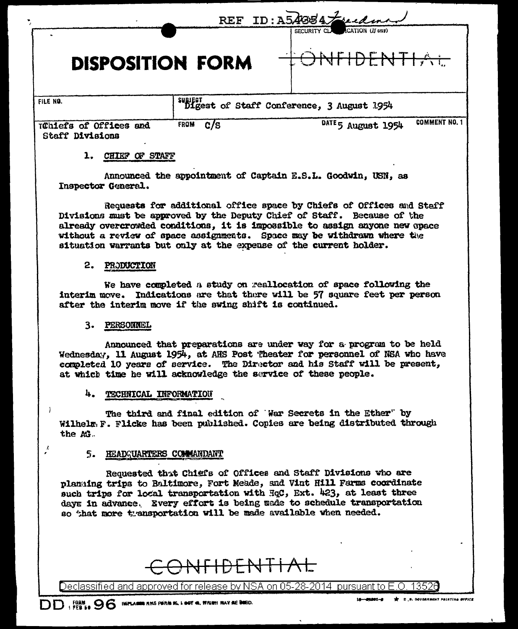|                                                  |                                            | REF ID: A54884 Fuckman                     |
|--------------------------------------------------|--------------------------------------------|--------------------------------------------|
| <b>DISPOSITION FORM</b>                          |                                            | CATION (If any)<br>SECURITY CLA            |
| FILE NO.                                         | suggest of Staff Conference, 3 August 1954 |                                            |
| Tühiefs of Offices and<br><b>Staff Divisions</b> | c/s<br><b>FROM</b>                         | <b>COMMENT NO. 1</b><br>DATE 5 August 1954 |

### 1. CHIEF OF STAFF

Announced the appointment of Captain E.S.L. Goodwin, USN, as Inspector General.

Requests for additional office space by Chiefs of Offices and Staff Divisions must be approved by the Deputy Chief of Staff. Because of the already overcrowded conditions, it is impossible to assign anyone new opace without a review of space assignments. Space may be withdrawn where the situation warrants but only at the expense of the current holder.

#### 2. PRODUCTION

We have completed a study on reallocation of space following the interim move. Indications are that there will be 57 square feet per person after the interim move if the swing shift is continued.

#### 3. PERSONNEL

Announced that preparations are under way for a program to be held Wednesday, 11 August 1954, at AHS Post Theater for personnel of NSA who have completed 10 years of service. The Director and his Staff will be present, at which time he will acknowledge the service of these people.

#### 4. TECHNICAL INFORMATION

The third and final edition of War Secrets in the Ether" by Wilhelm F. Flicke has been published. Copies are being distributed through the AG.

#### 5. HEADQUARTERS COMMANDANT

Requested that Chiefs of Offices and Staff Divisions who are planging trips to Baltimore, Fort Meade, and Vint Hill Farms coordinate such trips for local transportation with HqC, Ext. 423, at least three days in advance. Every effort is being made to schedule transportation so that more transportation will be made available when needed.

# <del>JFIDENTIAL</del>

Declassified and approved for release by NSA on 05-28-2014 pursuant to E.O. 13526

 $\mathcal{L}$